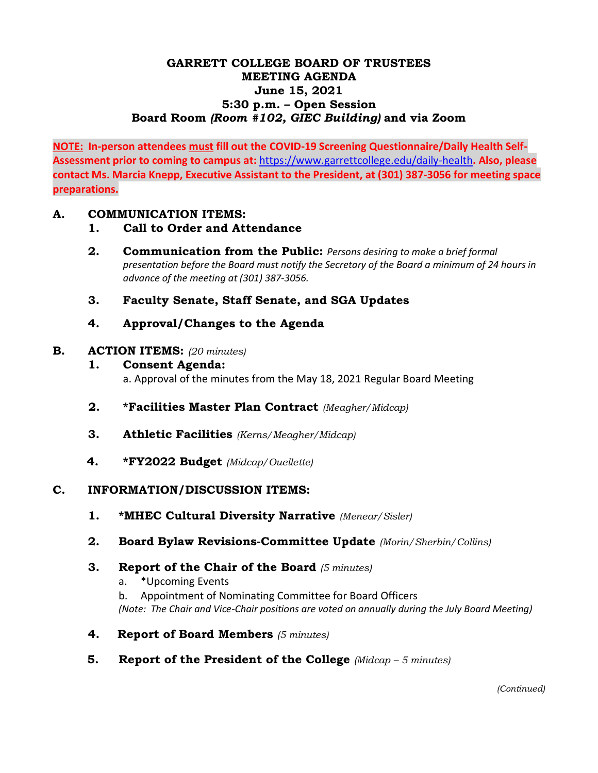## **GARRETT COLLEGE BOARD OF TRUSTEES MEETING AGENDA June 15, 2021 5:30 p.m. – Open Session Board Room** *(Room #102, GIEC Building)* **and via Zoom**

**NOTE: In-person attendees must fill out the COVID-19 Screening Questionnaire/Daily Health Self-Assessment prior to coming to campus at:** <https://www.garrettcollege.edu/daily-health>**. Also, please contact Ms. Marcia Knepp, Executive Assistant to the President, at (301) 387-3056 for meeting space preparations.** 

### **A. COMMUNICATION ITEMS:**

- **1. Call to Order and Attendance**
- **2. Communication from the Public:** *Persons desiring to make a brief formal presentation before the Board must notify the Secretary of the Board a minimum of 24 hours in advance of the meeting at (301) 387-3056.*
- **3. Faculty Senate, Staff Senate, and SGA Updates**
- **4. Approval/Changes to the Agenda**

#### **B. ACTION ITEMS:** *(20 minutes)*

- **1. Consent Agenda:** a. Approval of the minutes from the May 18, 2021 Regular Board Meeting
- **2. \*Facilities Master Plan Contract** *(Meagher/Midcap)*
- **3. Athletic Facilities** *(Kerns/Meagher/Midcap)*
- **4. \*FY2022 Budget** *(Midcap/Ouellette)*

#### **C. INFORMATION/DISCUSSION ITEMS:**

- **1. \*MHEC Cultural Diversity Narrative** *(Menear/Sisler)*
- **2. Board Bylaw Revisions-Committee Update** *(Morin/Sherbin/Collins)*
- **3. Report of the Chair of the Board** *(5 minutes)*
	- a. \*Upcoming Events

b. Appointment of Nominating Committee for Board Officers *(Note: The Chair and Vice-Chair positions are voted on annually during the July Board Meeting)*

- **4. Report of Board Members** *(5 minutes)*
- **5. Report of the President of the College** *(Midcap – 5 minutes)*

*(Continued)*